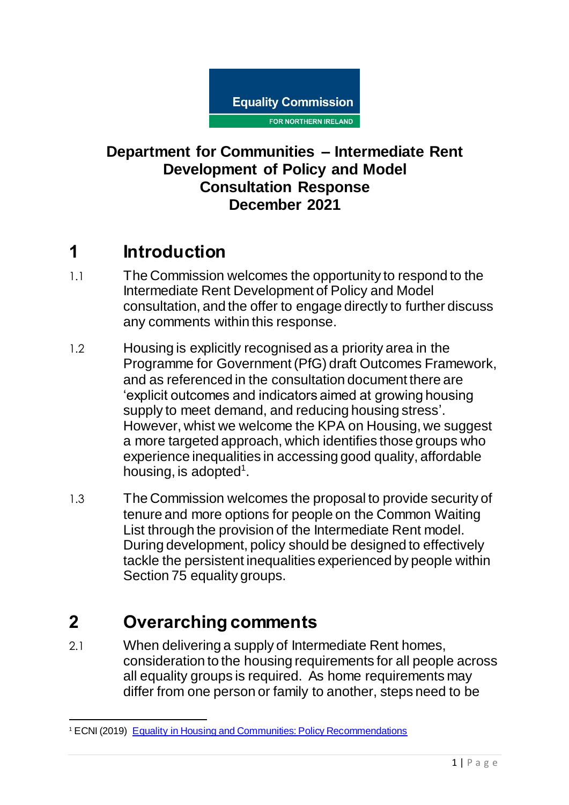

### **Department for Communities – Intermediate Rent Development of Policy and Model Consultation Response December 2021**

## **1 Introduction**

- 1.1 The Commission welcomes the opportunity to respond to the Intermediate Rent Development of Policy and Model consultation, and the offer to engage directly to further discuss any comments within this response.
- 1.2 Housing is explicitly recognised as a priority area in the Programme for Government (PfG) draft Outcomes Framework, and as referenced in the consultation document there are 'explicit outcomes and indicators aimed at growing housing supply to meet demand, and reducing housing stress'. However, whist we welcome the KPA on Housing, we suggest a more targeted approach, which identifies those groups who experience inequalities in accessing good quality, affordable housing, is adopted<sup>1</sup>.
- 1.3 The Commission welcomes the proposal to provide security of tenure and more options for people on the Common Waiting List through the provision of the Intermediate Rent model. During development, policy should be designed to effectively tackle the persistent inequalities experienced by people within Section 75 equality groups.

# **2 Overarching comments**

 $\overline{a}$ 

2.1 When delivering a supply of Intermediate Rent homes, consideration to the housing requirements for all people across all equality groups is required. As home requirements may differ from one person or family to another, steps need to be

<sup>&</sup>lt;sup>1</sup> ECNI (2019) [Equality in Housing and Communities: Policy Recommendations](https://www.equalityni.org/ECNI/media/ECNI/Publications/Delivering%20Equality/HousingPolicyPositions-Full.pdf)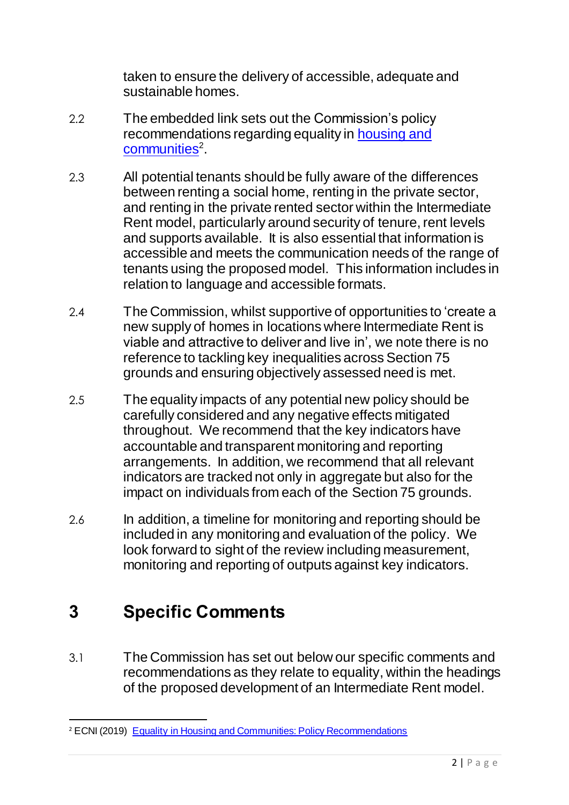taken to ensure the delivery of accessible, adequate and sustainable homes.

- 2.2 The embedded link sets out the Commission's policy recommendations regarding equality in [housing and](https://www.equalityni.org/ECNI/media/ECNI/Publications/Delivering%20Equality/HousingPolicyPositions-Full.pdf)  [communities](https://www.equalityni.org/ECNI/media/ECNI/Publications/Delivering%20Equality/HousingPolicyPositions-Full.pdf)<sup>2</sup>.
- 2.3 All potential tenants should be fully aware of the differences between renting a social home, renting in the private sector, and renting in the private rented sector within the Intermediate Rent model, particularly around security of tenure, rent levels and supports available. It is also essential that information is accessible and meets the communication needs of the range of tenants using the proposed model. This information includes in relation to language and accessible formats.
- 2.4 The Commission, whilst supportive of opportunities to 'create a new supply of homes in locations where Intermediate Rent is viable and attractive to deliver and live in', we note there is no reference to tackling key inequalities across Section 75 grounds and ensuring objectively assessed need is met.
- 2.5 The equality impacts of any potential new policy should be carefully considered and any negative effects mitigated throughout. We recommend that the key indicators have accountable and transparent monitoring and reporting arrangements. In addition, we recommend that all relevant indicators are tracked not only in aggregate but also for the impact on individuals from each of the Section 75 grounds.
- 2.6 In addition, a timeline for monitoring and reporting should be included in any monitoring and evaluation of the policy. We look forward to sight of the review including measurement, monitoring and reporting of outputs against key indicators.

# **3 Specific Comments**

 $\overline{a}$ 

3.1 The Commission has set out below our specific comments and recommendations as they relate to equality, within the headings of the proposed development of an Intermediate Rent model.

<sup>&</sup>lt;sup>2</sup> ECNI (2019) [Equality in Housing and Communities: Policy Recommendations](https://www.equalityni.org/ECNI/media/ECNI/Publications/Delivering%20Equality/HousingPolicyPositions-Full.pdf)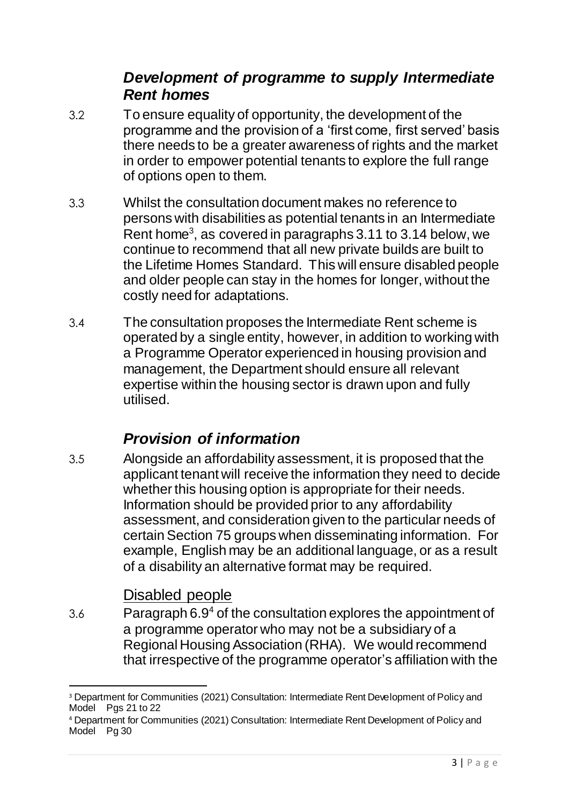### *Development of programme to supply Intermediate Rent homes*

- 3.2 To ensure equality of opportunity, the development of the programme and the provision of a 'first come, first served' basis there needs to be a greater awareness of rights and the market in order to empower potential tenants to explore the full range of options open to them.
- 3.3 Whilst the consultation document makes no reference to persons with disabilities as potential tenants in an Intermediate Rent home<sup>3</sup>, as covered in paragraphs 3.11 to 3.14 below, we continue to recommend that all new private builds are built to the Lifetime Homes Standard. This will ensure disabled people and older people can stay in the homes for longer, without the costly need for adaptations.
- 3.4 The consultation proposes the Intermediate Rent scheme is operated by a single entity, however, in addition to working with a Programme Operator experienced in housing provision and management, the Department should ensure all relevant expertise within the housing sector is drawn upon and fully utilised.

### *Provision of information*

3.5 Alongside an affordability assessment, it is proposed that the applicant tenant will receive the information they need to decide whether this housing option is appropriate for their needs. Information should be provided prior to any affordability assessment, and consideration given to the particular needs of certain Section 75 groups when disseminating information. For example, English may be an additional language, or as a result of a disability an alternative format may be required.

#### Disabled people

1

3.6 Paragraph  $6.9<sup>4</sup>$  of the consultation explores the appointment of a programme operator who may not be a subsidiary of a Regional Housing Association (RHA). We would recommend that irrespective of the programme operator's affiliation with the

<sup>&</sup>lt;sup>3</sup> Department for Communities (2021) Consultation: Intermediate Rent Development of Policy and Model Pgs 21 to 22

<sup>4</sup> Department for Communities (2021) Consultation: Intermediate Rent Development of Policy and Model Pg 30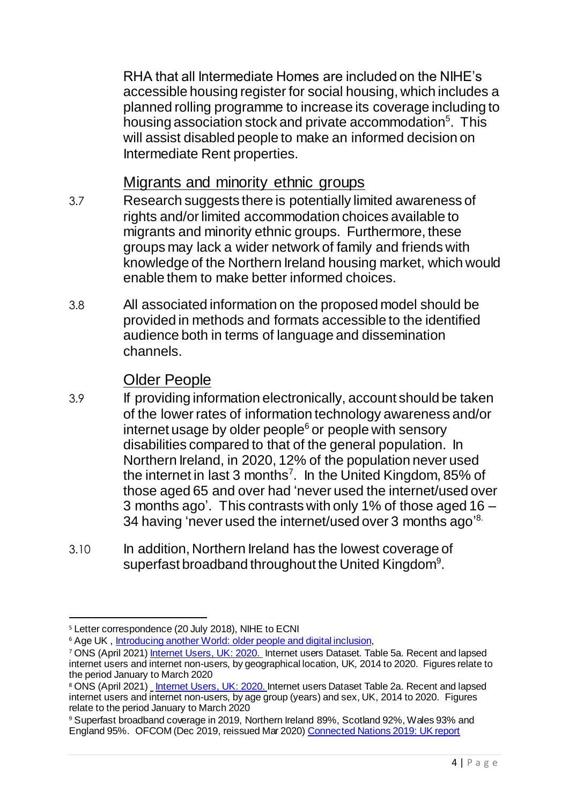RHA that all Intermediate Homes are included on the NIHE's accessible housing register for social housing, which includes a planned rolling programme to increase its coverage including to housing association stock and private accommodation<sup>5</sup>. This will assist disabled people to make an informed decision on Intermediate Rent properties.

Migrants and minority ethnic groups

- 3.7 Research suggests there is potentially limited awareness of rights and/or limited accommodation choices available to migrants and minority ethnic groups. Furthermore, these groups may lack a wider network of family and friends with knowledge of the Northern Ireland housing market, which would enable them to make better informed choices.
- 3.8 All associated information on the proposed model should be provided in methods and formats accessible to the identified audience both in terms of language and dissemination channels.

### Older People

- 3.9 If providing information electronically, account should be taken of the lower rates of information technology awareness and/or internet usage by older people $6$  or people with sensory disabilities compared to that of the general population. In Northern Ireland, in 2020, 12% of the population never used the internet in last 3 months<sup>7</sup>. In the United Kingdom, 85% of those aged 65 and over had 'never used the internet/used over 3 months ago'. This contrasts with only 1% of those aged 16 – 34 having 'never used the internet/used over 3 months ago'<sup>8.</sup>
- 3.10 In addition, Northern Ireland has the lowest coverage of superfast broadband throughout the United Kingdom<sup>9</sup>.

<sup>1</sup> <sup>5</sup> Letter correspondence (20 July 2018), NIHE to ECNI

<sup>&</sup>lt;sup>6</sup> Age UK[, Introducing another World: older people and digital inclusion](http://www.ageuk.org.uk/Documents/EN-GB/For-professionals/Computers-and-technology/Older%20people%20and%20digital%20inclusion.pdf?dtrk=true),

<sup>&</sup>lt;sup>7</sup> ONS (April 2021[\) Internet Users, UK: 2020.](https://www.ons.gov.uk/businessindustryandtrade/itandinternetindustry/bulletins/internetusers/2020#internet-users-data) Internet users Dataset. Table 5a. Recent and lapsed internet users and internet non-users, by geographical location, UK, 2014 to 2020. Figures relate to the period January to March 2020

<sup>&</sup>lt;sup>8</sup> ONS (April 2021[\)](https://www.ons.gov.uk/file?uri=/peoplepopulationandcommunity/householdcharacteristics/homeinternetandsocialmediausage/adhocs/007059internetusersbycountryandagegroup2017/recentandlapsedinternetusersandinternetnonusersbyagegroupandcountry2017.xls) <u>Linternet Users, UK: 2020. I</u>nternet users Dataset Table 2a. Recent and lapsed internet users and internet non-users, by age group (years) and sex, UK, 2014 to 2020. Figures relate to the period January to March 2020

<sup>9</sup> Superfast broadband coverage in 2019, Northern Ireland 89%, Scotland 92%, Wales 93% and England 95%. OFCOM (Dec 2019, reissued Mar 2020[\) Connected Nations 2019: UK report](https://www.ofcom.org.uk/research-and-data/multi-sector-research/infrastructure-research/connected-nations-2019/main-report)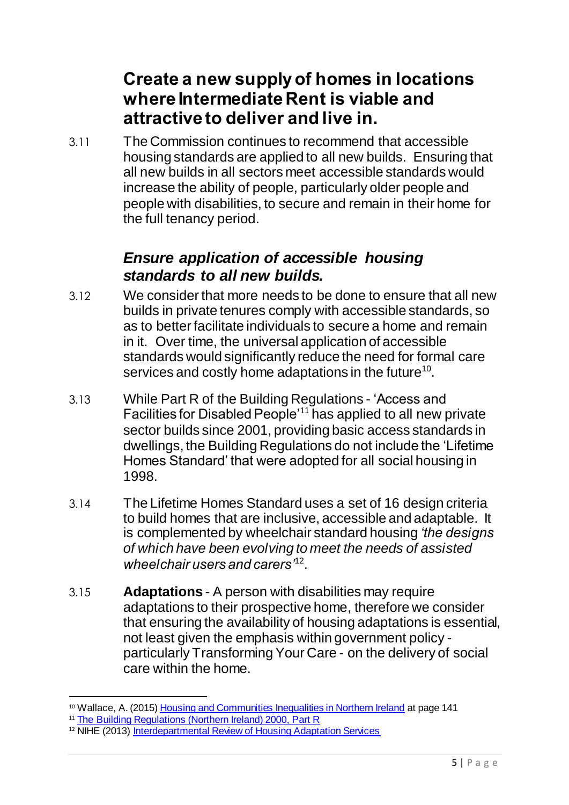## **Create a new supply of homes in locations where Intermediate Rent is viable and attractive to deliver and live in.**

3.11 The Commission continues to recommend that accessible housing standards are applied to all new builds. Ensuring that all new builds in all sectors meet accessible standards would increase the ability of people, particularly older people and people with disabilities, to secure and remain in their home for the full tenancy period.

#### *Ensure application of accessible housing standards to all new builds.*

- 3.12 We consider that more needs to be done to ensure that all new builds in private tenures comply with accessible standards, so as to better facilitate individuals to secure a home and remain in it. Over time, the universal application of accessible standards would significantly reduce the need for formal care services and costly home adaptations in the future<sup>10</sup>.
- 3.13 While Part R of the Building Regulations 'Access and Facilities for Disabled People'<sup>11</sup> has applied to all new private sector builds since 2001, providing basic access standards in dwellings, the Building Regulations do not include the 'Lifetime Homes Standard' that were adopted for all social housing in 1998.
- 3.14 The Lifetime Homes Standard uses a set of 16 design criteria to build homes that are inclusive, accessible and adaptable. It is complemented by wheelchair standard housing *'the designs of which have been evolving to meet the needs of assisted wheelchair users and carers'*<sup>12</sup> .
- 3.15 **Adaptations** A person with disabilities may require adaptations to their prospective home, therefore we consider that ensuring the availability of housing adaptations is essential, not least given the emphasis within government policy particularly Transforming Your Care - on the delivery of social care within the home.

 $\overline{a}$ 10 Wallace, A. (2015[\) Housing and Communities Inequalities in Northern Ireland](file:///C:/Users/Deborah/AppData/Local/Packages/microsoft.windowscommunicationsapps_8wekyb3d8bbwe/LocalState/Files/686/276/Wallace,%20A.%20(2015)%20Housing%20and%20Communities%20Inequalities%20in%20Northern%20Ireland) at page 141

<sup>&</sup>lt;sup>11</sup> [The Building Regulations \(Northern Ireland\) 2000, Part R](http://www.planningni.gov.uk/index/policy/supplementary_guidance/dcans/dcan11_draft/dcan11_draft_legislation/dcan11_draft_legislation4.htm)

<sup>&</sup>lt;sup>12</sup> NIHE (2013) [Interdepartmental Review of Housing Adaptation Services](http://www.nihe.gov.uk/interdepartmental_review_housing_adaptations.pdf)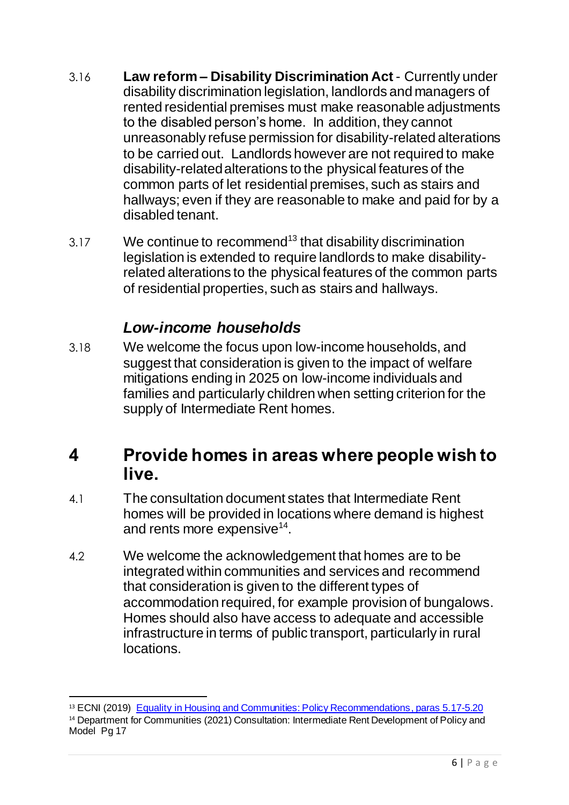- 3.16 **Law reform – Disability Discrimination Act** Currently under disability discrimination legislation, landlords and managers of rented residential premises must make reasonable adjustments to the disabled person's home. In addition, they cannot unreasonably refuse permission for disability-related alterations to be carried out. Landlords however are not required to make disability-related alterations to the physical features of the common parts of let residential premises, such as stairs and hallways; even if they are reasonable to make and paid for by a disabled tenant.
- 3.17 We continue to recommend<sup>13</sup> that disability discrimination legislation is extended to require landlords to make disabilityrelated alterations to the physical features of the common parts of residential properties, such as stairs and hallways.

### *Low-income households*

3.18 We welcome the focus upon low-income households, and suggest that consideration is given to the impact of welfare mitigations ending in 2025 on low-income individuals and families and particularly children when setting criterion for the supply of Intermediate Rent homes.

## **4 Provide homes in areas where people wish to live.**

- 4.1 The consultation document states that Intermediate Rent homes will be provided in locations where demand is highest and rents more expensive<sup>14</sup>.
- 4.2 We welcome the acknowledgement that homes are to be integrated within communities and services and recommend that consideration is given to the different types of accommodation required, for example provision of bungalows. Homes should also have access to adequate and accessible infrastructure in terms of public transport, particularly in rural locations.

 $\overline{a}$ 

<sup>&</sup>lt;sup>13</sup> ECNI (2019) [Equality in Housing and Communities: Policy Recommendations](https://www.equalityni.org/ECNI/media/ECNI/Publications/Delivering%20Equality/HousingPolicyPositions-Full.pdf), paras 5.17-5.20 <sup>14</sup> Department for Communities (2021) Consultation: Intermediate Rent Development of Policy and Model Pg 17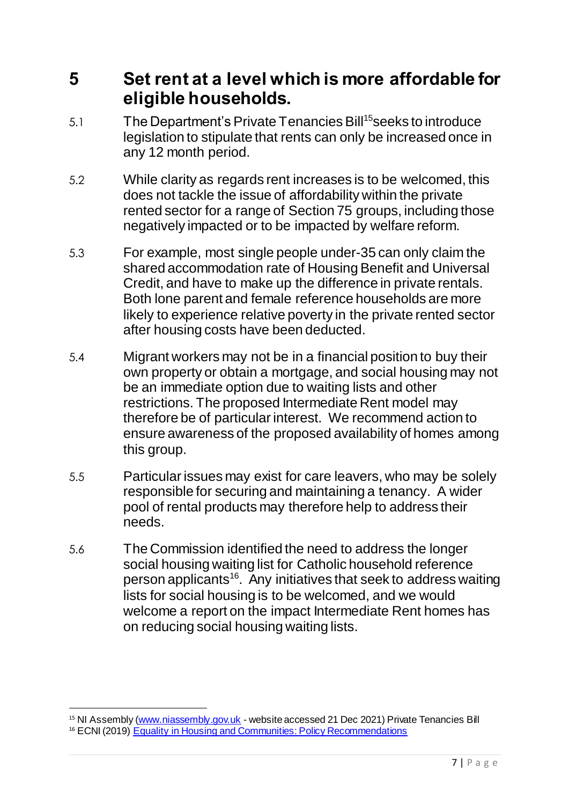### **5 Set rent at a level which is more affordable for eligible households.**

- 5.1 The Department's Private Tenancies Bill<sup>15</sup>seeks to introduce legislation to stipulate that rents can only be increased once in any 12 month period.
- 5.2 While clarity as regards rent increases is to be welcomed, this does not tackle the issue of affordability within the private rented sector for a range of Section 75 groups, including those negatively impacted or to be impacted by welfare reform.
- 5.3 For example, most single people under-35 can only claim the shared accommodation rate of Housing Benefit and Universal Credit, and have to make up the difference in private rentals. Both lone parent and female reference households are more likely to experience relative poverty in the private rented sector after housing costs have been deducted.
- 5.4 Migrant workers may not be in a financial position to buy their own property or obtain a mortgage, and social housing may not be an immediate option due to waiting lists and other restrictions. The proposed Intermediate Rent model may therefore be of particular interest. We recommend action to ensure awareness of the proposed availability of homes among this group.
- 5.5 Particular issues may exist for care leavers, who may be solely responsible for securing and maintaining a tenancy. A wider pool of rental products may therefore help to address their needs.
- 5.6 The Commission identified the need to address the longer social housing waiting list for Catholic household reference person applicants<sup>16</sup>. Any initiatives that seek to address waiting lists for social housing is to be welcomed, and we would welcome a report on the impact Intermediate Rent homes has on reducing social housing waiting lists.

 $\overline{a}$ 

<sup>&</sup>lt;sup>15</sup> NI Assembly [\(www.niassembly.gov.uk](http://www.niassembly.gov.uk/) - website accessed 21 Dec 2021) Private Tenancies Bill

<sup>&</sup>lt;sup>16</sup> ECNI (2019) [Equality in Housing and Communities: Policy Recommendations](https://www.equalityni.org/ECNI/media/ECNI/Publications/Delivering%20Equality/HousingPolicyPositions-Full.pdf)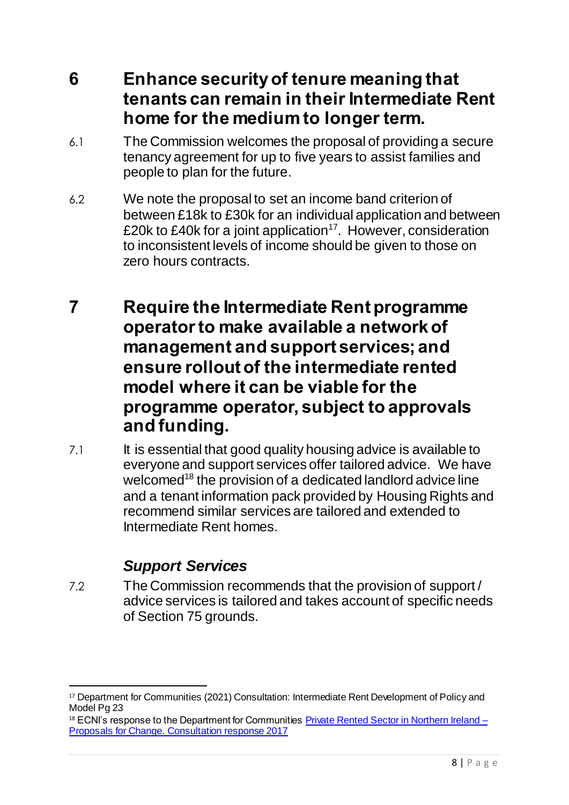- **6 Enhance security of tenure meaning that tenants can remain in their Intermediate Rent home for the medium to longer term.**
- 6.1 The Commission welcomes the proposal of providing a secure tenancy agreement for up to five years to assist families and people to plan for the future.
- 6.2 We note the proposal to set an income band criterion of between £18k to £30k for an individual application and between £20k to £40k for a joint application<sup>17</sup>. However, consideration to inconsistent levels of income should be given to those on zero hours contracts.
- **7 Require the Intermediate Rent programme operator to make available a network of management and support services; and ensure rollout of the intermediate rented model where it can be viable for the programme operator, subject to approvals and funding.**
- 7.1 It is essential that good quality housing advice is available to everyone and support services offer tailored advice. We have welcomed<sup>18</sup> the provision of a dedicated landlord advice line and a tenant information pack provided by Housing Rights and recommend similar services are tailored and extended to Intermediate Rent homes.

## *Support Services*

7.2 The Commission recommends that the provision of support / advice services is tailored and takes account of specific needs of Section 75 grounds.

<sup>1</sup> <sup>17</sup> Department for Communities (2021) Consultation: Intermediate Rent Development of Policy and Model Pg 23

 $18$  ECNI's response to the Department for Communities Private Rented Sector in Northern Ireland  $-$ [Proposals for Change. Consultation](https://www.equalityni.org/ECNI/media/ECNI/Consultation%20Responses/2017/DfC-PrivateRentalSectorNI.pdf?ext=.pdf) response 2017